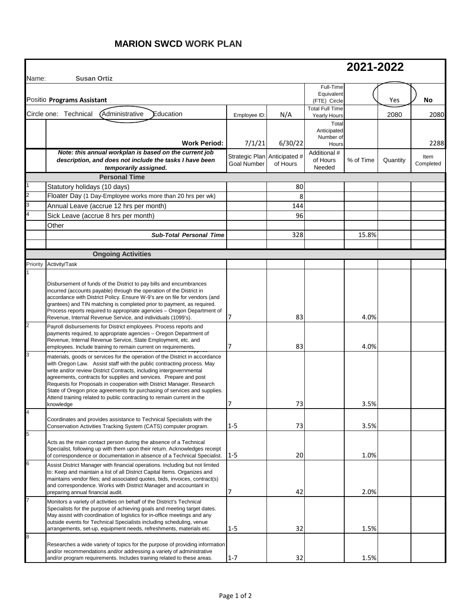# **MARION SWCD WORK PLAN**

| Name:          | <b>Susan Ortiz</b>                                                                                                                                                                                                                                                                                                                                                                                                                                                                                                                              |                                                    |          |                                            | 2021-2022 |          |                   |
|----------------|-------------------------------------------------------------------------------------------------------------------------------------------------------------------------------------------------------------------------------------------------------------------------------------------------------------------------------------------------------------------------------------------------------------------------------------------------------------------------------------------------------------------------------------------------|----------------------------------------------------|----------|--------------------------------------------|-----------|----------|-------------------|
|                | Positio Programs Assistant                                                                                                                                                                                                                                                                                                                                                                                                                                                                                                                      |                                                    |          | Full-Time<br>Equivalent<br>(FTE) Circle    |           | Yes      | <b>No</b>         |
|                | <b>Administrative</b><br>Circle one: Technical<br>Education                                                                                                                                                                                                                                                                                                                                                                                                                                                                                     | Employee ID:                                       | N/A      | <b>Total Full Time</b><br>Yearly Hours     |           | 2080     | 2080              |
|                | <b>Work Period:</b>                                                                                                                                                                                                                                                                                                                                                                                                                                                                                                                             | 7/1/21                                             | 6/30/22  | Total<br>Anticipated<br>Number of<br>Hours |           |          | 2288              |
|                | Note: this annual workplan is based on the current job<br>description, and does not include the tasks I have been<br>temporarily assigned.                                                                                                                                                                                                                                                                                                                                                                                                      | Strategic Plan Anticipated #<br><b>Goal Number</b> | of Hours | Additional #<br>of Hours<br>Needed         | % of Time | Quantity | Item<br>Completed |
|                | <b>Personal Time</b>                                                                                                                                                                                                                                                                                                                                                                                                                                                                                                                            |                                                    |          |                                            |           |          |                   |
|                | Statutory holidays (10 days)                                                                                                                                                                                                                                                                                                                                                                                                                                                                                                                    |                                                    | 80       |                                            |           |          |                   |
|                | Floater Day (1 Day-Employee works more than 20 hrs per wk)                                                                                                                                                                                                                                                                                                                                                                                                                                                                                      |                                                    | 8        |                                            |           |          |                   |
|                | Annual Leave (accrue 12 hrs per month)                                                                                                                                                                                                                                                                                                                                                                                                                                                                                                          |                                                    | 144      |                                            |           |          |                   |
|                | Sick Leave (accrue 8 hrs per month)                                                                                                                                                                                                                                                                                                                                                                                                                                                                                                             |                                                    | 96       |                                            |           |          |                   |
|                | Other                                                                                                                                                                                                                                                                                                                                                                                                                                                                                                                                           |                                                    |          |                                            |           |          |                   |
|                | <b>Sub-Total Personal Time</b>                                                                                                                                                                                                                                                                                                                                                                                                                                                                                                                  |                                                    | 328      |                                            | 15.8%     |          |                   |
|                | <b>Ongoing Activities</b>                                                                                                                                                                                                                                                                                                                                                                                                                                                                                                                       |                                                    |          |                                            |           |          |                   |
| Priority       | Activity/Task                                                                                                                                                                                                                                                                                                                                                                                                                                                                                                                                   |                                                    |          |                                            |           |          |                   |
|                |                                                                                                                                                                                                                                                                                                                                                                                                                                                                                                                                                 |                                                    |          |                                            |           |          |                   |
|                | Disbursement of funds of the District to pay bills and encumbrances<br>incurred (accounts payable) through the operation of the District in<br>accordance with District Policy. Ensure W-9's are on file for vendors (and<br>grantees) and TIN matching is completed prior to payment, as required.<br>Process reports required to appropriate agencies - Oregon Department of<br>Revenue, Internal Revenue Service, and individuals (1099's).                                                                                                  | 7                                                  | 83       |                                            | 4.0%      |          |                   |
| 2              | Payroll disbursements for District employees. Process reports and<br>payments required, to appropriate agencies - Oregon Department of<br>Revenue, Internal Revenue Service, State Employment, etc. and<br>employees. Include training to remain current on requirements.                                                                                                                                                                                                                                                                       | 7                                                  | 83       |                                            | 4.0%      |          |                   |
| 3              | materials, goods or services for the operation of the District in accordance<br>with Oregon Law. Assist staff with the public contracting process. May<br>write and/or review District Contracts, including intergovernmental<br>agreements, contracts for supplies and services. Prepare and post<br>Requests for Proposals in cooperation with District Manager. Research<br>State of Oregon price agreements for purchasing of services and supplies.<br>Attend training related to public contracting to remain current in the<br>knowledge | 17                                                 | 73       |                                            | 3.5%      |          |                   |
| $\overline{4}$ |                                                                                                                                                                                                                                                                                                                                                                                                                                                                                                                                                 |                                                    |          |                                            |           |          |                   |
|                | Coordinates and provides assistance to Technical Specialists with the<br>Conservation Activities Tracking System (CATS) computer program.                                                                                                                                                                                                                                                                                                                                                                                                       | $1 - 5$                                            | 73       |                                            | 3.5%      |          |                   |
| 5              | Acts as the main contact person during the absence of a Technical<br>Specialist, following up with them upon their return. Acknowledges receipt<br>of correspondence or documentation in absence of a Technical Specialist.                                                                                                                                                                                                                                                                                                                     | $1 - 5$                                            | 20       |                                            | 1.0%      |          |                   |
| 6              | Assist District Manager with financial operations. Including but not limited<br>to: Keep and maintain a list of all District Capital Items. Organizes and<br>maintains vendor files; and associated quotes, bids, invoices, contract(s)<br>and correspondence. Works with District Manager and accountant in<br>preparing annual financial audit.                                                                                                                                                                                               | 7                                                  | 42       |                                            | 2.0%      |          |                   |
|                | Monitors a variety of activities on behalf of the District's Technical<br>Specialists for the purpose of achieving goals and meeting target dates.<br>May assist with coordination of logistics for in-office meetings and any<br>outside events for Technical Specialists including scheduling, venue<br>arrangements, set-up, equipment needs, refreshments, materials etc.                                                                                                                                                                   | $1 - 5$                                            | 32       |                                            | 1.5%      |          |                   |
| 8              | Researches a wide variety of topics for the purpose of providing information<br>and/or recommendations and/or addressing a variety of administrative<br>and/or program requirements. Includes training related to these areas.                                                                                                                                                                                                                                                                                                                  | $1 - 7$                                            | 32       |                                            | 1.5%      |          |                   |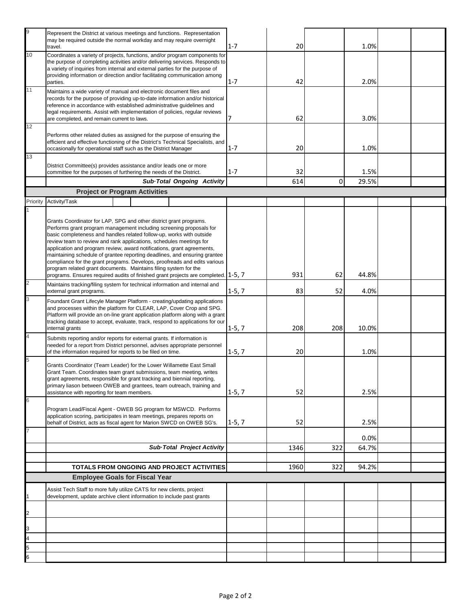|                | Represent the District at various meetings and functions. Representation<br>may be required outside the normal workday and may require overnight<br>travel.                                                                                                                                                                                                                                                                                                                                                                                                                                                                                                                            | $1 - 7$              | 20   |     | 1.0%          |  |
|----------------|----------------------------------------------------------------------------------------------------------------------------------------------------------------------------------------------------------------------------------------------------------------------------------------------------------------------------------------------------------------------------------------------------------------------------------------------------------------------------------------------------------------------------------------------------------------------------------------------------------------------------------------------------------------------------------------|----------------------|------|-----|---------------|--|
| 10             | Coordinates a variety of projects, functions, and/or program components for<br>the purpose of completing activities and/or delivering services. Responds to<br>a variety of inquiries from internal and external parties for the purpose of<br>providing information or direction and/or facilitating communication among<br>parties.                                                                                                                                                                                                                                                                                                                                                  | $1 - 7$              | 42   |     | 2.0%          |  |
| 11             | Maintains a wide variety of manual and electronic document files and<br>records for the purpose of providing up-to-date information and/or historical<br>reference in accordance with established administrative guidelines and<br>legal requirements. Assist with implementation of policies, regular reviews<br>are completed, and remain current to laws.                                                                                                                                                                                                                                                                                                                           |                      | 62   |     | 3.0%          |  |
| 12             | Performs other related duties as assigned for the purpose of ensuring the<br>efficient and effective functioning of the District's Technical Specialists, and<br>occasionally for operational staff such as the District Manager                                                                                                                                                                                                                                                                                                                                                                                                                                                       | $1 - 7$              | 20   |     | 1.0%          |  |
| 13             | District Committee(s) provides assistance and/or leads one or more<br>committee for the purposes of furthering the needs of the District.                                                                                                                                                                                                                                                                                                                                                                                                                                                                                                                                              | $1 - 7$              | 32   |     | 1.5%          |  |
|                | Sub-Total Ongoing Activity                                                                                                                                                                                                                                                                                                                                                                                                                                                                                                                                                                                                                                                             |                      | 614  | 0   | 29.5%         |  |
|                | <b>Project or Program Activities</b>                                                                                                                                                                                                                                                                                                                                                                                                                                                                                                                                                                                                                                                   |                      |      |     |               |  |
| Priority       | Activity/Task                                                                                                                                                                                                                                                                                                                                                                                                                                                                                                                                                                                                                                                                          |                      |      |     |               |  |
|                | Grants Coordinator for LAP, SPG and other district grant programs.<br>Performs grant program management including screening proposals for<br>basic completeness and handles related follow-up, works with outside<br>review team to review and rank applications, schedules meetings for<br>application and program review, award notifications, grant agreements,<br>maintaining schedule of grantee reporting deadlines, and ensuring grantee<br>compliance for the grant programs. Develops, proofreads and edits various<br>program related grant documents. Maintains filing system for the<br>programs. Ensures required audits of finished grant projects are completed. 1-5, 7 |                      | 931  | 62  | 44.8%         |  |
| $\overline{2}$ | Maintains tracking/filing system for technical information and internal and                                                                                                                                                                                                                                                                                                                                                                                                                                                                                                                                                                                                            |                      | 83   | 52  | 4.0%          |  |
|                | external grant programs.<br>Foundant Grant Lifecyle Manager Platform - creating/updating applications<br>and processes within the platform for CLEAR, LAP, Cover Crop and SPG.<br>Platform will provide an on-line grant application platform along with a grant<br>tracking database to accept, evaluate, track, respond to applications for our<br>internal grants                                                                                                                                                                                                                                                                                                                   | $1-5, 7$<br>$1-5, 7$ | 208  | 208 | 10.0%         |  |
|                | Submits reporting and/or reports for external grants. If information is<br>needed for a report from District personnel, advises appropriate personnel<br>of the information required for reports to be filed on time.                                                                                                                                                                                                                                                                                                                                                                                                                                                                  | $1-5, 7$             | 20   |     | 1.0%          |  |
|                | Grants Coordinator (Team Leader) for the Lower Willamette East Small<br>Grant Team. Coordinates team grant submissions, team meeting, writes<br>grant agreements, responsible for grant tracking and biennial reporting,<br>primary liason between OWEB and grantees, team outreach, training and<br>assistance with reporting for team members.                                                                                                                                                                                                                                                                                                                                       | $1-5, 7$             | 52   |     | 2.5%          |  |
| 6              | Program Lead/Fiscal Agent - OWEB SG program for MSWCD. Performs<br>application scoring, participates in team meetings, prepares reports on<br>behalf of District, acts as fiscal agent for Marion SWCD on OWEB SG's.                                                                                                                                                                                                                                                                                                                                                                                                                                                                   | $1-5, 7$             | 52   |     | 2.5%          |  |
|                |                                                                                                                                                                                                                                                                                                                                                                                                                                                                                                                                                                                                                                                                                        |                      |      |     |               |  |
|                | <b>Sub-Total Project Activity</b>                                                                                                                                                                                                                                                                                                                                                                                                                                                                                                                                                                                                                                                      |                      | 1346 | 322 | 0.0%<br>64.7% |  |
|                |                                                                                                                                                                                                                                                                                                                                                                                                                                                                                                                                                                                                                                                                                        |                      |      |     |               |  |
|                | TOTALS FROM ONGOING AND PROJECT ACTIVITIES                                                                                                                                                                                                                                                                                                                                                                                                                                                                                                                                                                                                                                             |                      | 1960 | 322 | 94.2%         |  |
|                | <b>Employee Goals for Fiscal Year</b>                                                                                                                                                                                                                                                                                                                                                                                                                                                                                                                                                                                                                                                  |                      |      |     |               |  |
|                | Assist Tech Staff to more fully utilize CATS for new clients, project<br>development, update archive client information to include past grants                                                                                                                                                                                                                                                                                                                                                                                                                                                                                                                                         |                      |      |     |               |  |
| 2              |                                                                                                                                                                                                                                                                                                                                                                                                                                                                                                                                                                                                                                                                                        |                      |      |     |               |  |
|                |                                                                                                                                                                                                                                                                                                                                                                                                                                                                                                                                                                                                                                                                                        |                      |      |     |               |  |
|                |                                                                                                                                                                                                                                                                                                                                                                                                                                                                                                                                                                                                                                                                                        |                      |      |     |               |  |
| 6              |                                                                                                                                                                                                                                                                                                                                                                                                                                                                                                                                                                                                                                                                                        |                      |      |     |               |  |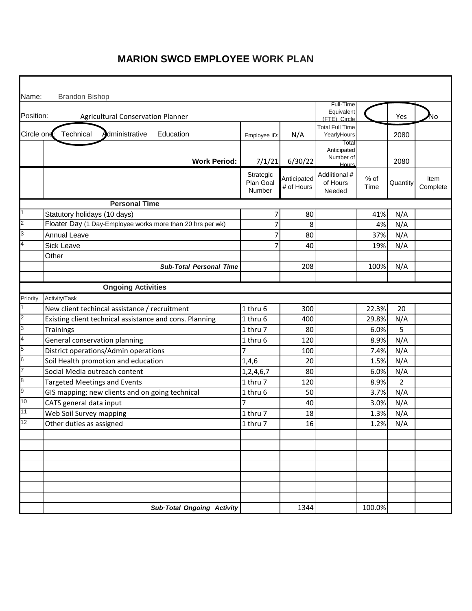| Name:       | <b>Brandon Bishop</b>                                      |                                  |                           |                                            |              |                |                  |
|-------------|------------------------------------------------------------|----------------------------------|---------------------------|--------------------------------------------|--------------|----------------|------------------|
| Position:   | <b>Agricultural Conservation Planner</b>                   |                                  |                           | Full-Time<br>Equivalent<br>(FTE) Circle    |              | Yes            | งด               |
| Circle one: | Technical<br><b>A</b> dministrative<br>Education           | Employee ID:                     | N/A                       | <b>Total Full Time</b><br>YearlyHours      |              | 2080           |                  |
|             | <b>Work Period:</b>                                        | 7/1/21                           | 6/30/22                   | Total<br>Anticipated<br>Number of<br>Hours |              | 2080           |                  |
|             |                                                            | Strategic<br>Plan Goal<br>Number | Anticipated<br># of Hours | Addiitional #<br>of Hours<br>Needed        | % of<br>Time | Quantity       | Item<br>Complete |
|             | <b>Personal Time</b>                                       |                                  |                           |                                            |              |                |                  |
|             | Statutory holidays (10 days)                               | 7                                | 80                        |                                            | 41%          | N/A            |                  |
| 2           | Floater Day (1 Day-Employee works more than 20 hrs per wk) | 7                                | 8                         |                                            | 4%           | N/A            |                  |
| 3           | <b>Annual Leave</b>                                        | 7                                | 80                        |                                            | 37%          | N/A            |                  |
| 4           | <b>Sick Leave</b>                                          | 7                                | 40                        |                                            | 19%          | N/A            |                  |
|             | Other                                                      |                                  |                           |                                            |              |                |                  |
|             | <b>Sub-Total Personal Time</b>                             |                                  | 208                       |                                            | 100%         | N/A            |                  |
|             | <b>Ongoing Activities</b>                                  |                                  |                           |                                            |              |                |                  |
| Priority    | Activity/Task                                              |                                  |                           |                                            |              |                |                  |
| 1           | New client techincal assistance / recruitment              | 1 thru 6                         | 300                       |                                            | 22.3%        | 20             |                  |
| 2           | Existing client technical assistance and cons. Planning    | 1 thru 6                         | 400                       |                                            | 29.8%        | N/A            |                  |
| 3           | <b>Trainings</b>                                           | 1 thru 7                         | 80                        |                                            | 6.0%         | 5              |                  |
| 4           | General conservation planning                              | 1 thru 6                         | 120                       |                                            | 8.9%         | N/A            |                  |
| 5           | District operations/Admin operations                       | 7                                | 100                       |                                            | 7.4%         | N/A            |                  |
| 6           | Soil Health promotion and education                        | 1,4,6                            | 20                        |                                            | 1.5%         | N/A            |                  |
| 7           | Social Media outreach content                              | 1,2,4,6,7                        | 80                        |                                            | 6.0%         | N/A            |                  |
| 8           | <b>Targeted Meetings and Events</b>                        | 1 thru 7                         | 120                       |                                            | 8.9%         | $\overline{2}$ |                  |
| 9           | GIS mapping; new clients and on going technical            | 1 thru 6                         | 50                        |                                            | 3.7%         | N/A            |                  |
| 10          | CATS general data input                                    | 7                                | 40                        |                                            | 3.0%         | N/A            |                  |
| 11          | Web Soil Survey mapping                                    | 1 thru 7                         | 18                        |                                            | 1.3%         | N/A            |                  |
| 12          | Other duties as assigned                                   | 1 thru 7                         | 16                        |                                            | 1.2%         | N/A            |                  |
|             |                                                            |                                  |                           |                                            |              |                |                  |
|             |                                                            |                                  |                           |                                            |              |                |                  |
|             |                                                            |                                  |                           |                                            |              |                |                  |
|             |                                                            |                                  |                           |                                            |              |                |                  |
|             |                                                            |                                  |                           |                                            |              |                |                  |
|             |                                                            |                                  |                           |                                            |              |                |                  |
|             |                                                            |                                  |                           |                                            |              |                |                  |
|             | <b>Sub-Total Ongoing Activity</b>                          |                                  | 1344                      |                                            | 100.0%       |                |                  |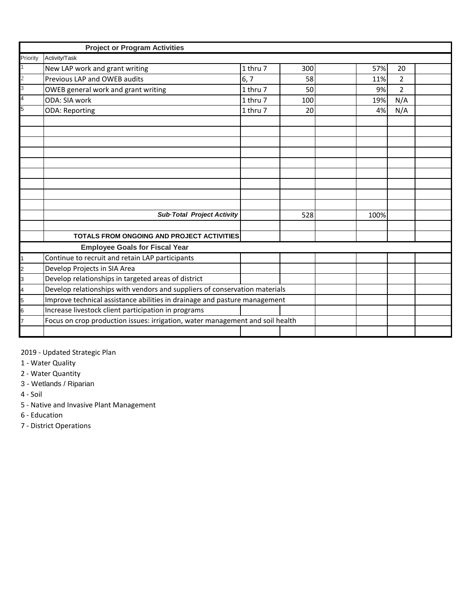|                | <b>Project or Program Activities</b>                                          |              |     |      |                |  |
|----------------|-------------------------------------------------------------------------------|--------------|-----|------|----------------|--|
| Priority       | Activity/Task                                                                 |              |     |      |                |  |
|                | New LAP work and grant writing                                                | 1 thru 7     | 300 | 57%  | 20             |  |
|                | Previous LAP and OWEB audits                                                  | 6, 7         | 58  | 11%  | $\overline{2}$ |  |
| 3              | OWEB general work and grant writing                                           | $1$ thru $7$ | 50  | 9%   | $\overline{2}$ |  |
| $\overline{4}$ | ODA: SIA work                                                                 | 1 thru 7     | 100 | 19%  | N/A            |  |
| 5              | <b>ODA: Reporting</b>                                                         | 1 thru 7     | 20  | 4%   | N/A            |  |
|                |                                                                               |              |     |      |                |  |
|                |                                                                               |              |     |      |                |  |
|                |                                                                               |              |     |      |                |  |
|                |                                                                               |              |     |      |                |  |
|                |                                                                               |              |     |      |                |  |
|                |                                                                               |              |     |      |                |  |
|                |                                                                               |              |     |      |                |  |
|                |                                                                               |              |     |      |                |  |
|                |                                                                               |              |     |      |                |  |
|                | <b>Sub-Total Project Activity</b>                                             |              | 528 | 100% |                |  |
|                |                                                                               |              |     |      |                |  |
|                | <b>TOTALS FROM ONGOING AND PROJECT ACTIVITIES</b>                             |              |     |      |                |  |
|                | <b>Employee Goals for Fiscal Year</b>                                         |              |     |      |                |  |
|                | Continue to recruit and retain LAP participants                               |              |     |      |                |  |
|                | Develop Projects in SIA Area                                                  |              |     |      |                |  |
| 3              | Develop relationships in targeted areas of district                           |              |     |      |                |  |
|                | Develop relationships with vendors and suppliers of conservation materials    |              |     |      |                |  |
| 5              | Improve technical assistance abilities in drainage and pasture management     |              |     |      |                |  |
| 6              | Increase livestock client participation in programs                           |              |     |      |                |  |
|                | Focus on crop production issues: irrigation, water management and soil health |              |     |      |                |  |
|                |                                                                               |              |     |      |                |  |

2019 - Updated Strategic Plan

- 1 Water Quality
- 2 Water Quantity
- 3 Wetlands / Riparian
- 4 Soil
- 5 Native and Invasive Plant Management
- 6 Education
- 7 District Operations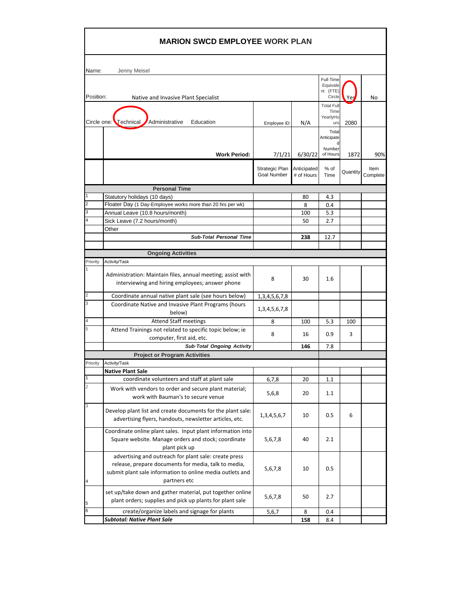|                         | <b>MARION SWCD EMPLOYEE WORK PLAN</b>                                                                                                                                                      |                                      |                           |                                             |          |                  |
|-------------------------|--------------------------------------------------------------------------------------------------------------------------------------------------------------------------------------------|--------------------------------------|---------------------------|---------------------------------------------|----------|------------------|
| Name:                   | Jenny Meisel                                                                                                                                                                               |                                      |                           |                                             |          |                  |
| Position:               | Native and Invasive Plant Specialist                                                                                                                                                       |                                      |                           | Full-Time<br>Equivale<br>nt (FTE)<br>Circle | Ye:      | No               |
|                         |                                                                                                                                                                                            |                                      |                           | <b>Total Full</b>                           |          |                  |
| Circle one:             | Technical<br>Administrative<br>Education                                                                                                                                                   | Employee ID:                         | N/A                       | Time<br>YearlyHo<br>urs                     | 2080     |                  |
|                         |                                                                                                                                                                                            |                                      |                           | Total<br>Anticipate<br>d                    |          |                  |
|                         | <b>Work Period:</b>                                                                                                                                                                        | 7/1/21                               | 6/30/22                   | Number<br>of Hours                          | 1872     | 90%              |
|                         |                                                                                                                                                                                            | Strategic Plan<br><b>Goal Number</b> | Anticipated<br># of Hours | % of<br>Time                                | Quantity | Item<br>Complete |
|                         | <b>Personal Time</b>                                                                                                                                                                       |                                      |                           |                                             |          |                  |
|                         | Statutory holidays (10 days)                                                                                                                                                               |                                      | 80                        | 4.3                                         |          |                  |
| $\overline{2}$          | Floater Day (1 Day-Employee works more than 20 hrs per wk)                                                                                                                                 |                                      | 8                         | 0.4                                         |          |                  |
| 3                       | Annual Leave (10.8 hours/month)                                                                                                                                                            |                                      | 100                       | 5.3                                         |          |                  |
|                         | Sick Leave (7.2 hours/month)                                                                                                                                                               |                                      | 50                        | 2.7                                         |          |                  |
|                         | Other<br><b>Sub-Total Personal Time</b>                                                                                                                                                    |                                      | 238                       | 12.7                                        |          |                  |
|                         | <b>Ongoing Activities</b>                                                                                                                                                                  |                                      |                           |                                             |          |                  |
| Priority                | Activity/Task                                                                                                                                                                              |                                      |                           |                                             |          |                  |
|                         |                                                                                                                                                                                            |                                      |                           |                                             |          |                  |
|                         | Administration: Maintain files, annual meeting; assist with<br>interviewing and hiring employees; answer phone                                                                             | 8                                    | 30                        | 1.6                                         |          |                  |
| 2                       | Coordinate annual native plant sale (see hours below)                                                                                                                                      | 1, 3, 4, 5, 6, 7, 8                  |                           |                                             |          |                  |
| 3                       | Coordinate Native and Invasive Plant Programs (hours<br>below)                                                                                                                             | 1, 3, 4, 5, 6, 7, 8                  |                           |                                             |          |                  |
| 4                       | <b>Attend Staff meetings</b>                                                                                                                                                               | 8                                    | 100                       | 5.3                                         | 100      |                  |
| 5                       | Attend Trainings not related to specific topic below; ie<br>computer, first aid, etc.                                                                                                      | 8                                    | 16                        | 0.9                                         | 3        |                  |
|                         | <b>Sub-Total Ongoing Activity</b>                                                                                                                                                          |                                      | 146                       | 7.8                                         |          |                  |
|                         | <b>Project or Program Activities</b>                                                                                                                                                       |                                      |                           |                                             |          |                  |
| Priority                | Activity/Task                                                                                                                                                                              |                                      |                           |                                             |          |                  |
|                         | <b>Native Plant Sale</b><br>coordinate volunteers and staff at plant sale                                                                                                                  |                                      |                           |                                             |          |                  |
| $\overline{\mathbf{c}}$ | Work with vendors to order and secure plant material;<br>work with Bauman's to secure venue                                                                                                | 6, 7, 8<br>5,6,8                     | 20<br>20                  | 1.1<br>1.1                                  |          |                  |
| 3                       | Develop plant list and create documents for the plant sale:                                                                                                                                | 1, 3, 4, 5, 6, 7                     | 10                        | 0.5                                         | 6        |                  |
|                         | advertising flyers, handouts, newsletter articles, etc.<br>Coordinate online plant sales. Input plant information into                                                                     |                                      |                           |                                             |          |                  |
|                         | Square website. Manage orders and stock; coordinate<br>plant pick up                                                                                                                       | 5,6,7,8                              | 40                        | 2.1                                         |          |                  |
| 4                       | advertising and outreach for plant sale: create press<br>release, prepare documents for media, talk to media,<br>submit plant sale information to online media outlets and<br>partners etc | 5,6,7,8                              | 10                        | 0.5                                         |          |                  |
| 5                       | set up/take down and gather material, put together online<br>plant orders; supplies and pick up plants for plant sale                                                                      | 5,6,7,8                              | 50                        | 2.7                                         |          |                  |
| 6                       | create/organize labels and signage for plants                                                                                                                                              | 5,6,7                                | 8                         | 0.4                                         |          |                  |
|                         | <b>Subtotal: Native Plant Sale</b>                                                                                                                                                         |                                      | 158                       | 8.4                                         |          |                  |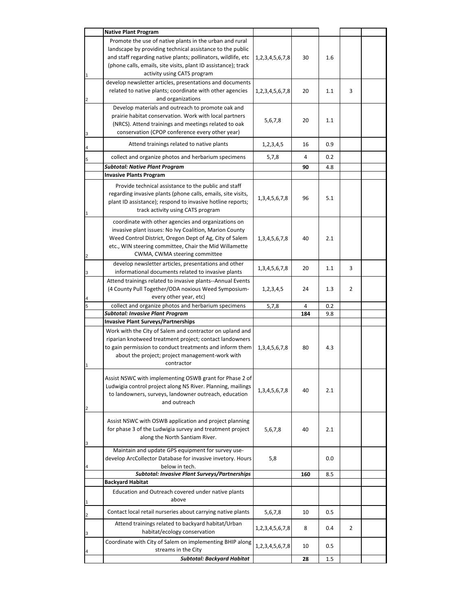|                | <b>Native Plant Program</b>                                                  |                        |     |     |                |  |
|----------------|------------------------------------------------------------------------------|------------------------|-----|-----|----------------|--|
|                | Promote the use of native plants in the urban and rural                      |                        |     |     |                |  |
|                | landscape by providing technical assistance to the public                    |                        |     |     |                |  |
|                | and staff regarding native plants; pollinators, wildlife, etc                | 1,2,3,4,5,6,7,8        | 30  | 1.6 |                |  |
|                | (phone calls, emails, site visits, plant ID assistance); track               |                        |     |     |                |  |
|                | activity using CATS program                                                  |                        |     |     |                |  |
|                | develop newsletter articles, presentations and documents                     |                        |     |     |                |  |
|                | related to native plants; coordinate with other agencies                     | 1, 2, 3, 4, 5, 6, 7, 8 | 20  | 1.1 | 3              |  |
| $\overline{c}$ | and organizations                                                            |                        |     |     |                |  |
|                | Develop materials and outreach to promote oak and                            |                        |     |     |                |  |
|                | prairie habitat conservation. Work with local partners                       |                        |     |     |                |  |
|                | (NRCS). Attend trainings and meetings related to oak                         | 5,6,7,8                | 20  | 1.1 |                |  |
|                | conservation (CPOP conference every other year)                              |                        |     |     |                |  |
| 3              |                                                                              |                        |     |     |                |  |
|                | Attend trainings related to native plants                                    | 1, 2, 3, 4, 5          | 16  | 0.9 |                |  |
| 5              | collect and organize photos and herbarium specimens                          | 5,7,8                  | 4   | 0.2 |                |  |
|                | <b>Subtotal: Native Plant Program</b>                                        |                        | 90  | 4.8 |                |  |
|                | <b>Invasive Plants Program</b>                                               |                        |     |     |                |  |
|                | Provide technical assistance to the public and staff                         |                        |     |     |                |  |
|                | regarding invasive plants (phone calls, emails, site visits,                 |                        |     |     |                |  |
|                | plant ID assistance); respond to invasive hotline reports;                   | 1, 3, 4, 5, 6, 7, 8    | 96  | 5.1 |                |  |
|                |                                                                              |                        |     |     |                |  |
|                | track activity using CATS program                                            |                        |     |     |                |  |
|                | coordinate with other agencies and organizations on                          |                        |     |     |                |  |
|                | invasive plant issues: No Ivy Coalition, Marion County                       |                        |     |     |                |  |
|                | Weed Control District, Oregon Dept of Ag, City of Salem                      | 1, 3, 4, 5, 6, 7, 8    | 40  | 2.1 |                |  |
|                | etc., WIN steering committee, Chair the Mid Willamette                       |                        |     |     |                |  |
|                | CWMA, CWMA steering committee                                                |                        |     |     |                |  |
| 2              |                                                                              |                        |     |     |                |  |
|                | develop newsletter articles, presentations and other                         | 1, 3, 4, 5, 6, 7, 8    | 20  | 1.1 | 3              |  |
|                | informational documents related to invasive plants                           |                        |     |     |                |  |
|                | Attend trainings related to invasive plants--Annual Events                   |                        |     |     |                |  |
|                | (4 County Pull Together/ODA noxious Weed Symposium-                          | 1, 2, 3, 4, 5          | 24  | 1.3 | $\overline{2}$ |  |
|                | every other year, etc)                                                       |                        |     |     |                |  |
|                | collect and organize photos and herbarium specimens                          | 5,7,8                  | 4   | 0.2 |                |  |
|                | <b>Subtotal: Invasive Plant Program</b>                                      |                        | 184 | 9.8 |                |  |
|                | <b>Invasive Plant Surveys/Partnerships</b>                                   |                        |     |     |                |  |
|                | Work with the City of Salem and contractor on upland and                     |                        |     |     |                |  |
|                | riparian knotweed treatment project; contact landowners                      |                        |     |     |                |  |
|                | to gain permission to conduct treatments and inform them                     | 1, 3, 4, 5, 6, 7, 8    | 80  | 4.3 |                |  |
|                | about the project; project management-work with                              |                        |     |     |                |  |
|                | contractor                                                                   |                        |     |     |                |  |
|                |                                                                              |                        |     |     |                |  |
|                | Assist NSWC with implementing OSWB grant for Phase 2 of                      |                        |     |     |                |  |
|                | Ludwigia control project along NS River. Planning, mailings                  |                        |     |     |                |  |
|                | to landowners, surveys, landowner outreach, education                        | 1, 3, 4, 5, 6, 7, 8    | 40  | 2.1 |                |  |
|                | and outreach                                                                 |                        |     |     |                |  |
| 2              |                                                                              |                        |     |     |                |  |
|                | Assist NSWC with OSWB application and project planning                       |                        |     |     |                |  |
|                |                                                                              |                        |     |     |                |  |
|                |                                                                              |                        |     |     |                |  |
|                | for phase 3 of the Ludwigia survey and treatment project                     | 5,6,7,8                | 40  | 2.1 |                |  |
| 3              | along the North Santiam River.                                               |                        |     |     |                |  |
|                |                                                                              |                        |     |     |                |  |
|                | Maintain and update GPS equipment for survey use-                            |                        |     | 0.0 |                |  |
|                | develop ArcCollector Database for invasive invetory. Hours<br>below in tech. | 5,8                    |     |     |                |  |
|                |                                                                              |                        | 160 | 8.5 |                |  |
|                | Subtotal: Invasive Plant Surveys/Partnerships<br><b>Backyard Habitat</b>     |                        |     |     |                |  |
|                |                                                                              |                        |     |     |                |  |
|                | Education and Outreach covered under native plants                           |                        |     |     |                |  |
|                | above                                                                        |                        |     |     |                |  |
| 2              | Contact local retail nurseries about carrying native plants                  | 5,6,7,8                | 10  | 0.5 |                |  |
|                | Attend trainings related to backyard habitat/Urban                           |                        |     |     |                |  |
|                | habitat/ecology conservation                                                 | 1, 2, 3, 4, 5, 6, 7, 8 | 8   | 0.4 | $\overline{2}$ |  |
|                | Coordinate with City of Salem on implementing BHIP along                     |                        |     |     |                |  |
|                | streams in the City                                                          | 1, 2, 3, 4, 5, 6, 7, 8 | 10  | 0.5 |                |  |
|                | <b>Subtotal: Backyard Habitat</b>                                            |                        | 28  | 1.5 |                |  |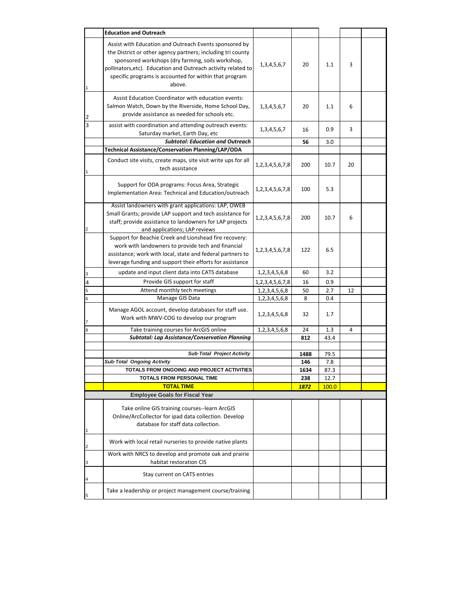|                | <b>Education and Outreach</b>                                                                                                                                                                                                                                                                                   |                        |             |               |    |  |
|----------------|-----------------------------------------------------------------------------------------------------------------------------------------------------------------------------------------------------------------------------------------------------------------------------------------------------------------|------------------------|-------------|---------------|----|--|
|                | Assist with Education and Outreach Events sponsored by<br>the District or other agency partners; including tri county<br>sponsored workshops (dry farming, soils workshop,<br>pollinators, etc). Education and Outreach activity related to<br>specific programs is accounted for within that program<br>above. | 1, 3, 4, 5, 6, 7       | 20          | 1.1           | 3  |  |
| $\overline{2}$ | Assist Education Coordinator with education events:<br>Salmon Watch, Down by the Riverside, Home School Day,<br>provide assistance as needed for schools etc.                                                                                                                                                   | 1, 3, 4, 5, 6, 7       | 20          | 1.1           | 6  |  |
| 3              | assist with coordination and attending outreach events:<br>Saturday market, Earth Day, etc                                                                                                                                                                                                                      | 1, 3, 4, 5, 6, 7       | 16          | 0.9           | 3  |  |
|                | <b>Subtotal: Education and Outreach</b>                                                                                                                                                                                                                                                                         |                        | 56          | 3.0           |    |  |
|                | Technical Assistance/Conservation Planning/LAP/ODA                                                                                                                                                                                                                                                              |                        |             |               |    |  |
|                | Conduct site visits, create maps, site visit write ups for all<br>tech assistance                                                                                                                                                                                                                               | 1, 2, 3, 4, 5, 6, 7, 8 | 200         | 10.7          | 20 |  |
|                | Support for ODA programs: Focus Area, Strategic<br>Implementation Area: Technical and Education/outreach                                                                                                                                                                                                        | 1,2,3,4,5,6,7,8        | 100         | 5.3           |    |  |
|                | Assist landowners with grant applications: LAP, OWEB<br>Small Grants; provide LAP support and tech assistance for<br>staff; provide assistance to landowners for LAP projects<br>and applications; LAP reviews                                                                                                  | 1, 2, 3, 4, 5, 6, 7, 8 | 200         | 10.7          | 6  |  |
|                | Support for Beachie Creek and Lionshead fire recovery:<br>work with landowners to provide tech and financial<br>assistance; work with local, state and federal partners to<br>leverage funding and support their efforts for assistance                                                                         | 1, 2, 3, 4, 5, 6, 7, 8 | 122         | 6.5           |    |  |
| 3              | update and input client data into CATS database                                                                                                                                                                                                                                                                 | 1, 2, 3, 4, 5, 6, 8    | 60          | 3.2           |    |  |
| 4              | Provide GIS support for staff                                                                                                                                                                                                                                                                                   | 1, 2, 3, 4, 5, 6, 7, 8 | 16          | 0.9           |    |  |
|                | Attend monthly tech meetings                                                                                                                                                                                                                                                                                    | 1, 2, 3, 4, 5, 6, 8    | 50          | 2.7           | 12 |  |
|                | Manage GIS Data                                                                                                                                                                                                                                                                                                 | 1, 2, 3, 4, 5, 6, 8    | 8           | 0.4           |    |  |
|                | Manage AGOL account, develop databases for staff use.<br>Work with MWV-COG to develop our program                                                                                                                                                                                                               | 1,2,3,4,5,6,8          | 32          | 1.7           |    |  |
| 8              | Take training courses for ArcGIS online                                                                                                                                                                                                                                                                         | 1, 2, 3, 4, 5, 6, 8    | 24          | 1.3           | 4  |  |
|                | <b>Subtotal: Lap Assistance/Conservation Planning</b>                                                                                                                                                                                                                                                           |                        | 812         | 43.4          |    |  |
|                |                                                                                                                                                                                                                                                                                                                 |                        |             |               |    |  |
|                | Sub-Total Project Activity                                                                                                                                                                                                                                                                                      |                        | 1488        | 79.5          |    |  |
|                | <b>Sub-Total Ongoing Activity</b>                                                                                                                                                                                                                                                                               |                        | 146         | 7.8           |    |  |
|                | TOTALS FROM ONGOING AND PROJECT ACTIVITIES<br>TOTALS FROM PERSONAL TIME                                                                                                                                                                                                                                         |                        | 1634        | 87.3          |    |  |
|                | <b>TOTAL TIME</b>                                                                                                                                                                                                                                                                                               |                        | 238<br>1872 | 12.7<br>100.0 |    |  |
|                | <b>Employee Goals for Fiscal Year</b>                                                                                                                                                                                                                                                                           |                        |             |               |    |  |
|                | Take online GIS training courses--learn ArcGIS<br>Online/ArcCollector for ipad data collection. Develop<br>database for staff data collection.                                                                                                                                                                  |                        |             |               |    |  |
|                |                                                                                                                                                                                                                                                                                                                 |                        |             |               |    |  |
|                | Work with local retail nurseries to provide native plants                                                                                                                                                                                                                                                       |                        |             |               |    |  |
| з              | Work with NRCS to develop and promote oak and prairie<br>habitat restoration CIS                                                                                                                                                                                                                                |                        |             |               |    |  |
|                | Stay current on CATS entries                                                                                                                                                                                                                                                                                    |                        |             |               |    |  |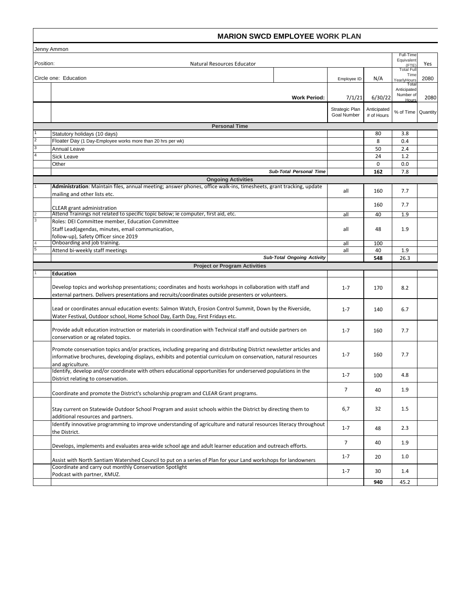|              | <b>MARION SWCD EMPLOYEE WORK PLAN</b>                                                                                                                                                                                                                       |                            |                                      |                           |                                    |          |
|--------------|-------------------------------------------------------------------------------------------------------------------------------------------------------------------------------------------------------------------------------------------------------------|----------------------------|--------------------------------------|---------------------------|------------------------------------|----------|
|              | Jenny Ammon                                                                                                                                                                                                                                                 |                            |                                      |                           |                                    |          |
| Position:    | Natural Resources Educator                                                                                                                                                                                                                                  |                            |                                      |                           | Full-Time<br>Equivalent<br>(FTE)   | Yes      |
|              | Circle one: Education                                                                                                                                                                                                                                       |                            | Employee ID                          | N/A                       | <b>Total Ful</b><br>Time           | 2080     |
|              |                                                                                                                                                                                                                                                             |                            |                                      |                           | YearlyHours<br>Tota<br>Anticipated |          |
|              |                                                                                                                                                                                                                                                             | <b>Work Period:</b>        | 7/1/21                               | 6/30/22                   | Number of<br>Hour                  | 2080     |
|              |                                                                                                                                                                                                                                                             |                            | Strategic Plan<br><b>Goal Number</b> | Anticipated<br># of Hours | % of Time                          | Quantity |
|              | <b>Personal Time</b>                                                                                                                                                                                                                                        |                            |                                      |                           |                                    |          |
|              | Statutory holidays (10 days)                                                                                                                                                                                                                                |                            |                                      | 80                        | 3.8                                |          |
|              | Floater Day (1 Day-Employee works more than 20 hrs per wk)                                                                                                                                                                                                  |                            |                                      | 8                         | 0.4                                |          |
|              | Annual Leave                                                                                                                                                                                                                                                |                            |                                      | 50                        | 2.4                                |          |
|              | Sick Leave                                                                                                                                                                                                                                                  |                            |                                      | 24                        | 1.2                                |          |
|              | Other                                                                                                                                                                                                                                                       |                            |                                      | 0                         | 0.0                                |          |
|              |                                                                                                                                                                                                                                                             | Sub-Total Personal Time    |                                      | 162                       | 7.8                                |          |
|              | <b>Ongoing Activities</b><br>Administration: Maintain files, annual meeting; answer phones, office walk-ins, timesheets, grant tracking, update                                                                                                             |                            |                                      |                           |                                    |          |
|              | mailing and other lists etc.                                                                                                                                                                                                                                |                            | all                                  | 160                       | 7.7                                |          |
|              | <b>CLEAR</b> grant administration                                                                                                                                                                                                                           |                            |                                      | 160                       | 7.7                                |          |
|              | Attend Trainings not related to specific topic below; ie computer, first aid, etc.                                                                                                                                                                          |                            | all                                  | 40                        | 1.9                                |          |
| $\mathbf{3}$ | Roles: DEI Committee member, Education Committee                                                                                                                                                                                                            |                            |                                      |                           |                                    |          |
|              | Staff Lead(agendas, minutes, email communication,                                                                                                                                                                                                           |                            | all                                  | 48                        | 1.9                                |          |
|              | follow-up), Safety Officer since 2019                                                                                                                                                                                                                       |                            |                                      |                           |                                    |          |
|              | Onboarding and job training.                                                                                                                                                                                                                                |                            | all                                  | 100                       |                                    |          |
|              | Attend bi-weekly staff meetings                                                                                                                                                                                                                             |                            | all                                  | 40                        | 1.9                                |          |
|              |                                                                                                                                                                                                                                                             | Sub-Total Ongoing Activity |                                      | 548                       | 26.3                               |          |
|              | <b>Project or Program Activities</b><br><b>Education</b>                                                                                                                                                                                                    |                            |                                      |                           |                                    |          |
|              | Develop topics and workshop presentations; coordinates and hosts workshops in collaboration with staff and                                                                                                                                                  |                            | $1 - 7$                              | 170                       | 8.2                                |          |
|              | external partners. Delivers presentations and recruits/coordinates outside presenters or volunteers.<br>Lead or coordinates annual education events: Salmon Watch, Erosion Control Summit, Down by the Riverside,                                           |                            | $1 - 7$                              | 140                       | 6.7                                |          |
|              | Water Festival, Outdoor school, Home School Day, Earth Day, First Fridays etc.                                                                                                                                                                              |                            |                                      |                           |                                    |          |
|              | Provide adult education instruction or materials in coordination with Technical staff and outside partners on<br>conservation or ag related topics.                                                                                                         |                            | $1 - 7$                              | 160                       | 7.7                                |          |
|              | Promote conservation topics and/or practices, including preparing and distributing District newsletter articles and<br>informative brochures, developing displays, exhibits and potential curriculum on conservation, natural resources<br>and agriculture. |                            | $1 - 7$                              | 160                       | 7.7                                |          |
|              | Identify, develop and/or coordinate with others educational opportunities for underserved populations in the<br>District relating to conservation.                                                                                                          |                            | $1 - 7$                              | 100                       | 4.8                                |          |
|              | Coordinate and promote the District's scholarship program and CLEAR Grant programs.                                                                                                                                                                         |                            | $\overline{7}$                       | 40                        | 1.9                                |          |
|              | Stay current on Statewide Outdoor School Program and assist schools within the District by directing them to<br>additional resources and partners.                                                                                                          |                            | 6,7                                  | 32                        | 1.5                                |          |
|              | Identify innovative programming to improve understanding of agriculture and natural resources literacy throughout<br>the District.                                                                                                                          |                            | $1 - 7$                              | 48                        | 2.3                                |          |
|              | Develops, implements and evaluates area-wide school age and adult learner education and outreach efforts.                                                                                                                                                   |                            | $\overline{7}$                       | 40                        | 1.9                                |          |
|              | Assist with North Santiam Watershed Council to put on a series of Plan for your Land workshops for landowners                                                                                                                                               |                            | $1 - 7$                              | 20                        | 1.0                                |          |
|              | Coordinate and carry out monthly Conservation Spotlight<br>Podcast with partner, KMUZ.                                                                                                                                                                      |                            | $1 - 7$                              | 30                        | 1.4                                |          |
|              |                                                                                                                                                                                                                                                             |                            |                                      | 940                       | 45.2                               |          |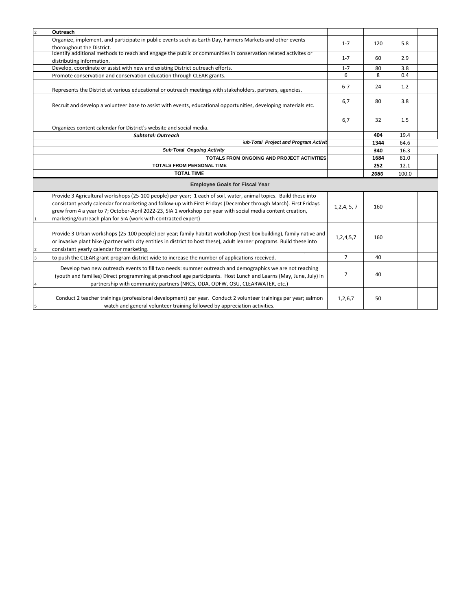|                | Outreach                                                                                                                                                                                                                                                                                                                                                                                                               |                |      |       |  |
|----------------|------------------------------------------------------------------------------------------------------------------------------------------------------------------------------------------------------------------------------------------------------------------------------------------------------------------------------------------------------------------------------------------------------------------------|----------------|------|-------|--|
|                | Organize, implement, and participate in public events such as Earth Day, Farmers Markets and other events<br>thoroughout the District.                                                                                                                                                                                                                                                                                 | $1 - 7$        | 120  | 5.8   |  |
|                | Identify additional methods to reach and engage the public or communities in conservation related activites or<br>distributing information.                                                                                                                                                                                                                                                                            | $1 - 7$        | 60   | 2.9   |  |
|                | Develop, coordinate or assist with new and existing District outreach efforts.                                                                                                                                                                                                                                                                                                                                         | $1 - 7$        | 80   | 3.8   |  |
|                | Promote conservation and conservation education through CLEAR grants.                                                                                                                                                                                                                                                                                                                                                  | 6              | 8    | 0.4   |  |
|                | Represents the District at various educational or outreach meetings with stakeholders, partners, agencies.                                                                                                                                                                                                                                                                                                             | $6 - 7$        | 24   | 1.2   |  |
|                | Recruit and develop a volunteer base to assist with events, educational opportunities, developing materials etc.                                                                                                                                                                                                                                                                                                       | 6,7            | 80   | 3.8   |  |
|                | Organizes content calendar for District's website and social media.                                                                                                                                                                                                                                                                                                                                                    | 6,7            | 32   | 1.5   |  |
|                | <b>Subtotal: Outreach</b>                                                                                                                                                                                                                                                                                                                                                                                              |                | 404  | 19.4  |  |
|                | <b>Sub-Total Project and Program Activit</b>                                                                                                                                                                                                                                                                                                                                                                           |                | 1344 | 64.6  |  |
|                | Sub-Total Ongoing Activity                                                                                                                                                                                                                                                                                                                                                                                             |                | 340  | 16.3  |  |
|                | TOTALS FROM ONGOING AND PROJECT ACTIVITIES                                                                                                                                                                                                                                                                                                                                                                             |                | 1684 | 81.0  |  |
|                | <b>TOTALS FROM PERSONAL TIME</b>                                                                                                                                                                                                                                                                                                                                                                                       |                | 252  | 12.1  |  |
|                | <b>TOTAL TIME</b>                                                                                                                                                                                                                                                                                                                                                                                                      |                | 2080 | 100.0 |  |
|                | <b>Employee Goals for Fiscal Year</b>                                                                                                                                                                                                                                                                                                                                                                                  |                |      |       |  |
|                | Provide 3 Agricultural workshops (25-100 people) per year; 1 each of soil, water, animal topics. Build these into<br>consistant yearly calendar for marketing and follow-up with First Fridays (December through March). First Fridays<br>grew from 4 a year to 7; October-April 2022-23, SIA 1 workshop per year with social media content creation,<br>marketing/outreach plan for SIA (work with contracted expert) | 1, 2, 4, 5, 7  | 160  |       |  |
|                | Provide 3 Urban workshops (25-100 people) per year; family habitat workshop (nest box building), family native and<br>or invasive plant hike (partner with city entities in district to host these), adult learner programs. Build these into<br>consistant yearly calendar for marketing.                                                                                                                             | 1,2,4,5,7      | 160  |       |  |
| 3              | to push the CLEAR grant program district wide to increase the number of applications received.                                                                                                                                                                                                                                                                                                                         | $\overline{7}$ | 40   |       |  |
| $\overline{4}$ | Develop two new outreach events to fill two needs: summer outreach and demographics we are not reaching<br>(youth and families) Direct programming at preschool age participants. Host Lunch and Learns (May, June, July) in<br>partnership with community partners (NRCS, ODA, ODFW, OSU, CLEARWATER, etc.)                                                                                                           | $\overline{7}$ | 40   |       |  |
| 5              | Conduct 2 teacher trainings (professional development) per year. Conduct 2 volunteer trainings per year; salmon<br>watch and general volunteer training followed by appreciation activities.                                                                                                                                                                                                                           | 1,2,6,7        | 50   |       |  |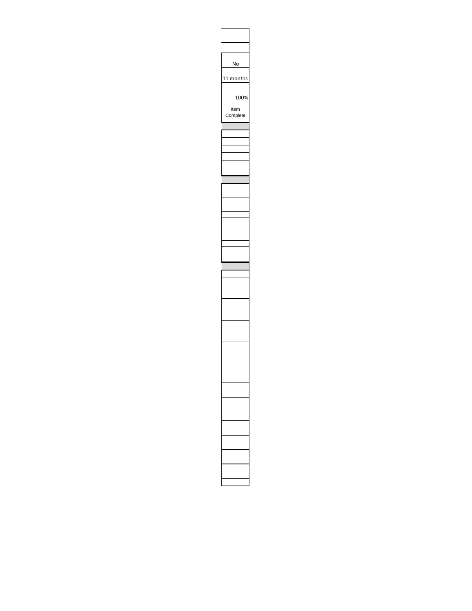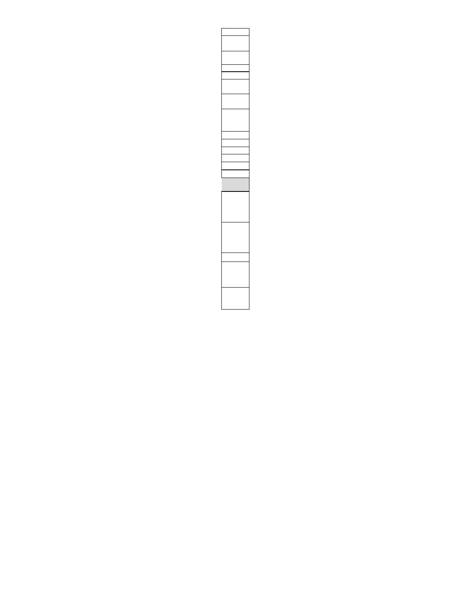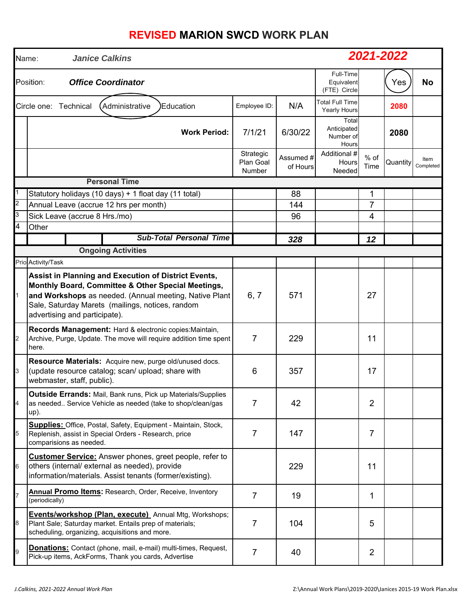# **REVISED MARION SWCD WORK PLAN**

|                         | 2021-2022<br>Name:<br><b>Janice Calkins</b>                                                                                                                                                                                                               |                                         |                       |                                            |                |          |                   |
|-------------------------|-----------------------------------------------------------------------------------------------------------------------------------------------------------------------------------------------------------------------------------------------------------|-----------------------------------------|-----------------------|--------------------------------------------|----------------|----------|-------------------|
|                         | Position:<br><b>Office Coordinator</b>                                                                                                                                                                                                                    |                                         |                       | Full-Time<br>Equivalent<br>(FTE) Circle    |                | Yes      | <b>No</b>         |
|                         | Circle one:<br>Administrative<br><b>Education</b><br>Technical                                                                                                                                                                                            | Employee ID:                            | N/A                   | <b>Total Full Time</b><br>Yearly Hours     |                | 2080     |                   |
|                         | <b>Work Period:</b>                                                                                                                                                                                                                                       | 7/1/21                                  | 6/30/22               | Total<br>Anticipated<br>Number of<br>Hours |                | 2080     |                   |
|                         |                                                                                                                                                                                                                                                           | Strategic<br>Plan Goal<br><b>Number</b> | Assumed #<br>of Hours | Additional #<br>Hours<br>Needed            | % of<br>Time   | Quantity | Item<br>Completed |
|                         | <b>Personal Time</b>                                                                                                                                                                                                                                      |                                         |                       |                                            |                |          |                   |
|                         | Statutory holidays (10 days) + 1 float day (11 total)                                                                                                                                                                                                     |                                         | 88                    |                                            | 1              |          |                   |
| $\overline{2}$          | Annual Leave (accrue 12 hrs per month)                                                                                                                                                                                                                    |                                         | 144                   |                                            | $\overline{7}$ |          |                   |
| 3                       | Sick Leave (accrue 8 Hrs./mo)                                                                                                                                                                                                                             |                                         | 96                    |                                            | 4              |          |                   |
| 4                       | Other                                                                                                                                                                                                                                                     |                                         |                       |                                            |                |          |                   |
|                         | <b>Sub-Total Personal Time</b>                                                                                                                                                                                                                            |                                         | 328                   |                                            | 12             |          |                   |
|                         | <b>Ongoing Activities</b>                                                                                                                                                                                                                                 |                                         |                       |                                            |                |          |                   |
|                         | Prio Activity/Task                                                                                                                                                                                                                                        |                                         |                       |                                            |                |          |                   |
| 1                       | Assist in Planning and Execution of District Events,<br>Monthly Board, Committee & Other Special Meetings,<br>and Workshops as needed. (Annual meeting, Native Plant<br>Sale, Saturday Marets (mailings, notices, random<br>advertising and participate). | 6, 7                                    | 571                   |                                            | 27             |          |                   |
| $\overline{\mathbf{c}}$ | Records Management: Hard & electronic copies: Maintain,<br>Archive, Purge, Update. The move will require addition time spent<br>here.                                                                                                                     | 7                                       | 229                   |                                            | 11             |          |                   |
| 3                       | Resource Materials: Acquire new, purge old/unused docs.<br>(update resource catalog; scan/ upload; share with<br>webmaster, staff, public).                                                                                                               | 6                                       | 357                   |                                            | 17             |          |                   |
| $\overline{a}$          | Outside Errands: Mail, Bank runs, Pick up Materials/Supplies<br>as needed Service Vehicle as needed (take to shop/clean/gas<br>up).                                                                                                                       | $\overline{7}$                          | 42                    |                                            | $\overline{2}$ |          |                   |
| 5                       | <b>Supplies: Office, Postal, Safety, Equipment - Maintain, Stock,</b><br>Replenish, assist in Special Orders - Research, price<br>comparisions as needed.                                                                                                 | 7                                       | 147                   |                                            | $\overline{7}$ |          |                   |
| $\overline{6}$          | <b>Customer Service:</b> Answer phones, greet people, refer to<br>others (internal/ external as needed), provide<br>information/materials. Assist tenants (former/existing).                                                                              |                                         | 229                   |                                            | 11             |          |                   |
| $\overline{7}$          | <b>Annual Promo Items: Research, Order, Receive, Inventory</b><br>(periodically)                                                                                                                                                                          | $\overline{7}$                          | 19                    |                                            | $\mathbf{1}$   |          |                   |
| 8                       | <b>Events/workshop (Plan, execute)</b> Annual Mtg, Workshops;<br>Plant Sale; Saturday market. Entails prep of materials;<br>scheduling, organizing, acquisitions and more.                                                                                | 7                                       | 104                   |                                            | 5              |          |                   |
| 9                       | <b>Donations:</b> Contact (phone, mail, e-mail) multi-times, Request,<br>Pick-up items, AckForms, Thank you cards, Advertise                                                                                                                              | $\overline{7}$                          | 40                    |                                            | $\overline{2}$ |          |                   |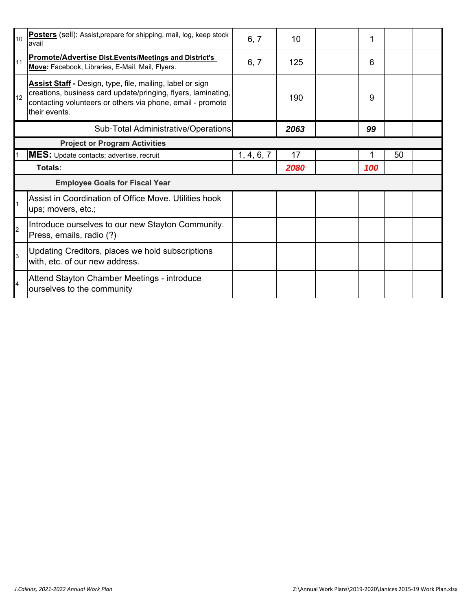| 10             | <b>Posters</b> (sell): Assist, prepare for shipping, mail, log, keep stock<br>avail                                                                                                                       | 6, 7       | 10   |  |     |    |  |  |  |  |
|----------------|-----------------------------------------------------------------------------------------------------------------------------------------------------------------------------------------------------------|------------|------|--|-----|----|--|--|--|--|
| 11             | <b>Promote/Advertise Dist. Events/Meetings and District's</b><br>Move: Facebook, Libraries, E-Mail, Mail, Flyers.                                                                                         | 6, 7       | 125  |  | 6   |    |  |  |  |  |
| 12             | Assist Staff - Design, type, file, mailing, label or sign<br>creations, business card update/pringing, flyers, laminating,<br>contacting volunteers or others via phone, email - promote<br>their events. |            | 190  |  | 9   |    |  |  |  |  |
|                | Sub Total Administrative/Operations                                                                                                                                                                       |            | 2063 |  | 99  |    |  |  |  |  |
|                | <b>Project or Program Activities</b>                                                                                                                                                                      |            |      |  |     |    |  |  |  |  |
|                | <b>MES:</b> Update contacts; advertise, recruit                                                                                                                                                           | 1, 4, 6, 7 | 17   |  |     | 50 |  |  |  |  |
|                | <b>Totals:</b>                                                                                                                                                                                            |            | 2080 |  | 100 |    |  |  |  |  |
|                | <b>Employee Goals for Fiscal Year</b>                                                                                                                                                                     |            |      |  |     |    |  |  |  |  |
|                |                                                                                                                                                                                                           |            |      |  |     |    |  |  |  |  |
|                | Assist in Coordination of Office Move. Utilities hook<br>ups; movers, etc.;                                                                                                                               |            |      |  |     |    |  |  |  |  |
| $\overline{c}$ | Introduce ourselves to our new Stayton Community.<br>Press, emails, radio (?)                                                                                                                             |            |      |  |     |    |  |  |  |  |
| 3              | Updating Creditors, places we hold subscriptions<br>with, etc. of our new address.                                                                                                                        |            |      |  |     |    |  |  |  |  |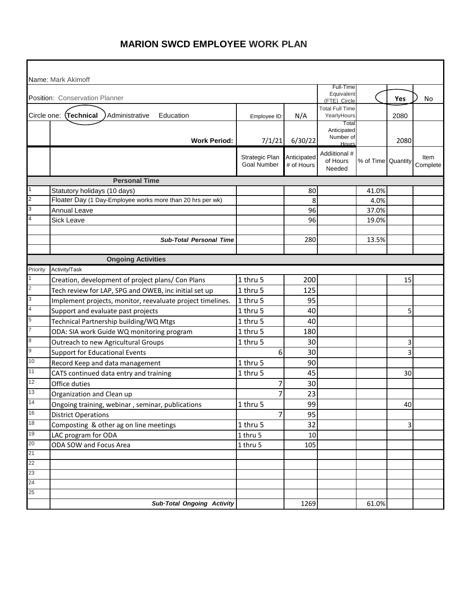|                          | Name: Mark Akimoff                                         |                                      |                           |                            |                    |      |                  |
|--------------------------|------------------------------------------------------------|--------------------------------------|---------------------------|----------------------------|--------------------|------|------------------|
|                          |                                                            |                                      |                           | Full-Time                  |                    |      |                  |
|                          | Position: Conservation Planner                             |                                      |                           | Equivalent<br>(FTE) Circle |                    | Yes  | No               |
|                          |                                                            |                                      |                           | <b>Total Full Time</b>     |                    |      |                  |
|                          | Circle one: (Technical<br>Education<br>Administrative      | Employee ID:                         | N/A                       | YearlyHours<br>Total       |                    | 2080 |                  |
|                          |                                                            |                                      |                           | Anticipated                |                    |      |                  |
|                          | <b>Work Period:</b>                                        | 7/1/21                               | 6/30/22                   | Number of<br>Hours         |                    | 2080 |                  |
|                          |                                                            |                                      |                           | Addiitional #              |                    |      |                  |
|                          |                                                            | Strategic Plan<br><b>Goal Number</b> | Anticipated<br># of Hours | of Hours                   | % of Time Quantity |      | Item<br>Complete |
|                          |                                                            |                                      |                           | Needed                     |                    |      |                  |
|                          | <b>Personal Time</b>                                       |                                      |                           |                            |                    |      |                  |
|                          | Statutory holidays (10 days)                               |                                      | 80                        |                            | 41.0%              |      |                  |
| $\overline{c}$<br>3      | Floater Day (1 Day-Employee works more than 20 hrs per wk) |                                      | 8                         |                            | 4.0%               |      |                  |
|                          | <b>Annual Leave</b>                                        |                                      | 96                        |                            | 37.0%              |      |                  |
|                          | <b>Sick Leave</b>                                          |                                      | 96                        |                            | 19.0%              |      |                  |
|                          | <b>Sub-Total Personal Time</b>                             |                                      | 280                       |                            | 13.5%              |      |                  |
|                          |                                                            |                                      |                           |                            |                    |      |                  |
|                          | <b>Ongoing Activities</b>                                  |                                      |                           |                            |                    |      |                  |
| Priority                 | Activity/Task                                              |                                      |                           |                            |                    |      |                  |
|                          | Creation, development of project plans/ Con Plans          | 1 thru 5                             | 200                       |                            |                    | 15   |                  |
| 2                        | Tech review for LAP, SPG and OWEB, inc initial set up      | 1 thru 5                             | 125                       |                            |                    |      |                  |
| 3                        | Implement projects, monitor, reevaluate project timelines. | 1 thru 5                             | 95                        |                            |                    |      |                  |
| $\overline{\mathcal{A}}$ | Support and evaluate past projects                         | 1 thru 5                             | 40                        |                            |                    | 5    |                  |
| 5                        | Technical Partnership building/WQ Mtgs                     | 1 thru 5                             | 40                        |                            |                    |      |                  |
| 7                        | ODA: SIA work Guide WQ monitoring program                  | 1 thru 5                             | 180                       |                            |                    |      |                  |
| 8                        | Outreach to new Agricultural Groups                        | 1 thru 5                             | 30                        |                            |                    | 3    |                  |
| 9                        | <b>Support for Educational Events</b>                      | 6                                    | 30                        |                            |                    | 3    |                  |
| 10                       | Record Keep and data management                            | 1 thru 5                             | 90                        |                            |                    |      |                  |
| 11                       | CATS continued data entry and training                     | 1 thru 5                             | 45                        |                            |                    | 30   |                  |
| 12                       | Office duties                                              |                                      | 30                        |                            |                    |      |                  |
| 13                       | Organization and Clean up                                  | 7                                    | 23                        |                            |                    |      |                  |
| 14                       | Ongoing training, webinar, seminar, publications           | 1 thru 5                             | 99                        |                            |                    | 40   |                  |
| 16                       | <b>District Operations</b>                                 | 7                                    | 95                        |                            |                    |      |                  |
| 18                       | Composting & other ag on line meetings                     | 1 thru 5                             | 32                        |                            |                    | 3    |                  |
| 19                       | LAC program for ODA                                        | 1 thru 5                             | 10                        |                            |                    |      |                  |
| 20                       | ODA SOW and Focus Area                                     | 1 thru 5                             | 105                       |                            |                    |      |                  |
| 21                       |                                                            |                                      |                           |                            |                    |      |                  |
| 22                       |                                                            |                                      |                           |                            |                    |      |                  |
| 23                       |                                                            |                                      |                           |                            |                    |      |                  |
| 24                       |                                                            |                                      |                           |                            |                    |      |                  |
| 25                       |                                                            |                                      |                           |                            |                    |      |                  |
|                          | Sub-Total Ongoing Activity                                 |                                      | 1269                      |                            | 61.0%              |      |                  |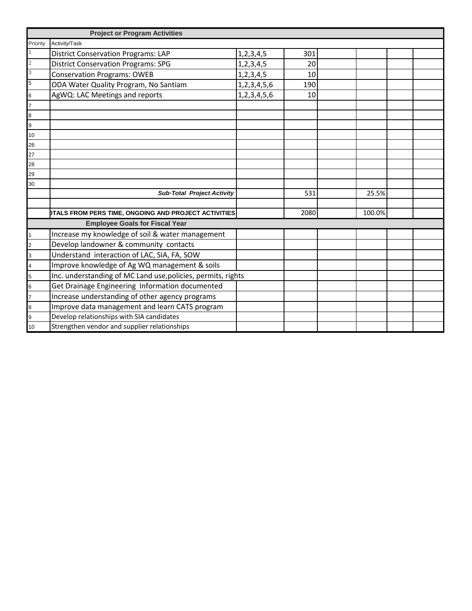|                 | <b>Project or Program Activities</b>                         |                  |      |        |  |
|-----------------|--------------------------------------------------------------|------------------|------|--------|--|
| Priority        | Activity/Task                                                |                  |      |        |  |
|                 | <b>District Conservation Programs: LAP</b>                   | 1,2,3,4,5        | 301  |        |  |
| $\overline{c}$  | <b>District Conservation Programs: SPG</b>                   | 1,2,3,4,5        | 20   |        |  |
| 3               | <b>Conservation Programs: OWEB</b>                           | 1,2,3,4,5        | 10   |        |  |
| 5               | ODA Water Quality Program, No Santiam                        | 1, 2, 3, 4, 5, 6 | 190  |        |  |
| 6               | AgWQ: LAC Meetings and reports                               | 1, 2, 3, 4, 5, 6 | 10   |        |  |
| 7               |                                                              |                  |      |        |  |
|                 |                                                              |                  |      |        |  |
| $\frac{8}{9}$   |                                                              |                  |      |        |  |
| 10              |                                                              |                  |      |        |  |
| $\frac{26}{27}$ |                                                              |                  |      |        |  |
|                 |                                                              |                  |      |        |  |
| 28<br>29        |                                                              |                  |      |        |  |
|                 |                                                              |                  |      |        |  |
| 30              |                                                              |                  |      |        |  |
|                 | <b>Sub-Total Project Activity</b>                            |                  | 531  | 25.5%  |  |
|                 |                                                              |                  |      |        |  |
|                 | DTALS FROM PERS TIME, ONGOING AND PROJECT ACTIVITIES         |                  | 2080 | 100.0% |  |
|                 | <b>Employee Goals for Fiscal Year</b>                        |                  |      |        |  |
|                 | Increase my knowledge of soil & water management             |                  |      |        |  |
| $\overline{c}$  | Develop landowner & community contacts                       |                  |      |        |  |
| 3               | Understand interaction of LAC, SIA, FA, SOW                  |                  |      |        |  |
| 4               | Improve knowledge of Ag WQ management & soils                |                  |      |        |  |
| 5               | Inc. understanding of MC Land use, policies, permits, rights |                  |      |        |  |
| 6               | Get Drainage Engineering Information documented              |                  |      |        |  |
| 7               | Increase understanding of other agency programs              |                  |      |        |  |
| 8               | Improve data management and learn CATS program               |                  |      |        |  |
| 9               | Develop relationships with SIA candidates                    |                  |      |        |  |
| 10              | Strengthen vendor and supplier relationships                 |                  |      |        |  |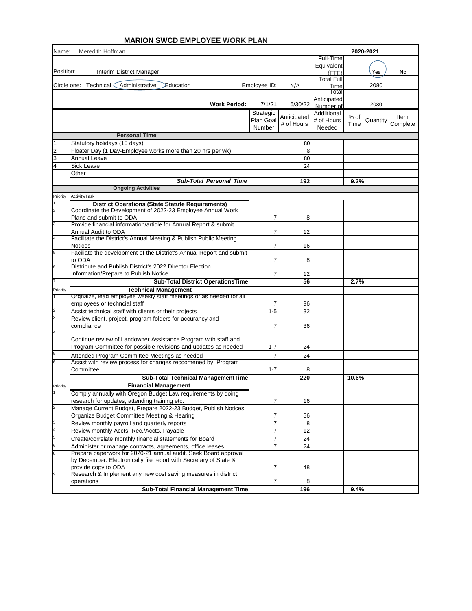| 2020-2021<br>Name:<br>Meredith Hoffman |                                                                                          |                |             |                            |       |          |          |
|----------------------------------------|------------------------------------------------------------------------------------------|----------------|-------------|----------------------------|-------|----------|----------|
|                                        |                                                                                          |                |             | Full-Time                  |       |          |          |
|                                        |                                                                                          |                |             | Equivalent                 |       |          |          |
| Position:                              | Interim District Manager                                                                 |                |             | (FTE)<br><b>Total Full</b> |       | Yes      | No       |
|                                        | Circle one: Technical (Administrative<br>Education                                       | Employee ID:   | N/A         | Time                       |       | 2080     |          |
|                                        |                                                                                          |                |             | Total                      |       |          |          |
|                                        |                                                                                          |                |             | Anticipated                |       |          |          |
|                                        | <b>Work Period:</b>                                                                      | 7/1/21         | 6/30/22     | Number of                  |       | 2080     |          |
|                                        |                                                                                          | Strategic      | Anticipated | Addiitional                | % of  |          | Item     |
|                                        |                                                                                          | Plan Goal      | # of Hours  | # of Hours                 | Time  | Quantity | Complete |
|                                        |                                                                                          | Number         |             | Needed                     |       |          |          |
|                                        | <b>Personal Time</b>                                                                     |                |             |                            |       |          |          |
|                                        | Statutory holidays (10 days)                                                             |                | 80          |                            |       |          |          |
| 2                                      | Floater Day (1 Day-Employee works more than 20 hrs per wk)                               |                | 8           |                            |       |          |          |
| 3                                      | <b>Annual Leave</b>                                                                      |                | 80          |                            |       |          |          |
| 4                                      | Sick Leave                                                                               |                | 24          |                            |       |          |          |
|                                        | Other                                                                                    |                |             |                            |       |          |          |
|                                        | <b>Sub-Total Personal Time</b><br><b>Ongoing Activities</b>                              |                | 192         |                            | 9.2%  |          |          |
| Priority                               | Activity/Task                                                                            |                |             |                            |       |          |          |
|                                        | <b>District Operations (State Statute Requirements)</b>                                  |                |             |                            |       |          |          |
|                                        | Coordinate the Development of 2022-23 Employee Annual Work                               |                |             |                            |       |          |          |
|                                        | Plans and submit to ODA                                                                  | $\overline{7}$ | 8           |                            |       |          |          |
|                                        | Provide financial information/article for Annual Report & submit                         |                |             |                            |       |          |          |
|                                        | Annual Audit to ODA                                                                      | $\overline{7}$ | 12          |                            |       |          |          |
|                                        | Facilitate the District's Annual Meeting & Publish Public Meeting                        |                |             |                            |       |          |          |
|                                        | <b>Notices</b>                                                                           | 7              | 16          |                            |       |          |          |
|                                        | Faciliate the development of the District's Annual Report and submit                     |                |             |                            |       |          |          |
|                                        | to ODA<br>Distribute and Publish District's 2022 Director Election                       | $\overline{7}$ | 8           |                            |       |          |          |
|                                        | Information/Prepare to Publish Notice                                                    | $\overline{7}$ | 12          |                            |       |          |          |
|                                        | <b>Sub-Total District OperationsTime</b>                                                 |                | 56          |                            | 2.7%  |          |          |
| Priority                               | <b>Technical Management</b>                                                              |                |             |                            |       |          |          |
|                                        | Orgnaize, lead employee weekly staff meetings or as needed for all                       |                |             |                            |       |          |          |
|                                        | employees or techncial staff                                                             | 7              | 96          |                            |       |          |          |
|                                        | Assist technical staff with clients or their projects                                    | $1 - 5$        | 32          |                            |       |          |          |
|                                        | Review client, project, program folders for accurancy and                                |                |             |                            |       |          |          |
|                                        | compliance                                                                               | $\overline{7}$ | 36          |                            |       |          |          |
| $\overline{4}$                         | Continue review of Landowner Assistance Program with staff and                           |                |             |                            |       |          |          |
|                                        | Program Committee for possible revisions and updates as needed                           | 1-7            | 24          |                            |       |          |          |
|                                        | Attended Program Committee Meetings as needed                                            | $\overline{7}$ | 24          |                            |       |          |          |
|                                        | Assist with review process for changes reccomened by Program                             |                |             |                            |       |          |          |
|                                        | Committee                                                                                | $1 - 7$        | 8           |                            |       |          |          |
|                                        | <b>Sub-Total Technical ManagementTime</b>                                                |                | 220         |                            | 10.6% |          |          |
| Priority                               | <b>Financial Management</b>                                                              |                |             |                            |       |          |          |
|                                        | Comply annually with Oregon Budget Law requirements by doing                             |                |             |                            |       |          |          |
|                                        | research for updates, attending training etc.                                            | 7              | 16          |                            |       |          |          |
| $\overline{a}$                         | Manage Current Budget, Prepare 2022-23 Budget, Publish Notices,                          |                |             |                            |       |          |          |
|                                        | Organize Budget Committee Meeting & Hearing                                              | 7              | 56          |                            |       |          |          |
|                                        | Review monthly payroll and quarterly reports                                             | 7              | 8           |                            |       |          |          |
|                                        | Review monthly Accts. Rec./Accts. Payable                                                | 7              | 12          |                            |       |          |          |
|                                        | Create/correlate monthly financial statements for Board                                  | 7              | 24          |                            |       |          |          |
|                                        | Administer or manage contracts, agreements, office leases                                | $\overline{7}$ | 24          |                            |       |          |          |
|                                        | Prepare paperwork for 2020-21 annual audit. Seek Board approval                          |                |             |                            |       |          |          |
|                                        | by December. Electronically file report with Secretary of State &<br>provide copy to ODA | 7              | 48          |                            |       |          |          |
|                                        | Research & Implement any new cost saving measures in district                            |                |             |                            |       |          |          |
|                                        | operations                                                                               | 7              | 8           |                            |       |          |          |
|                                        | <b>Sub-Total Financial Management Time</b>                                               |                | 196         |                            | 9.4%  |          |          |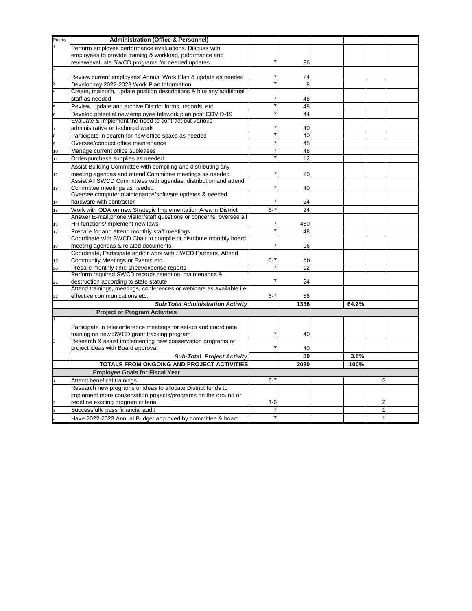| Priority | <b>Administration (Office &amp; Personnel)</b>                                                                              |                |                 |       |                |  |
|----------|-----------------------------------------------------------------------------------------------------------------------------|----------------|-----------------|-------|----------------|--|
|          | Perform employee performance evaluations. Discuss with                                                                      |                |                 |       |                |  |
|          | employees to provide training & workload, peformance and                                                                    |                |                 |       |                |  |
|          | review/evaluate SWCD programs for needed updates                                                                            | $\overline{7}$ | 96              |       |                |  |
|          |                                                                                                                             |                |                 |       |                |  |
|          | Review current employees' Annual Work Plan & update as needed                                                               | 7              | 24              |       |                |  |
|          | Develop my 2022-2023 Work Plan Information                                                                                  | $\overline{7}$ | 8               |       |                |  |
|          | Create, maintain, update position descriptions & hire any additional                                                        |                |                 |       |                |  |
|          | staff as needed                                                                                                             | 7              | 48              |       |                |  |
|          | Review, update and archive District forms, records, etc.                                                                    | $\overline{7}$ | 48              |       |                |  |
|          | Develop potential new employee telework plan post COVID-19                                                                  | $\overline{7}$ | 44              |       |                |  |
|          | Evaluate & Implement the need to contract out various                                                                       |                |                 |       |                |  |
|          | administrative or technical work                                                                                            | 7              | 40              |       |                |  |
|          | Participate in search for new office space as needed                                                                        | 7              | 40              |       |                |  |
|          | Oversee/conduct office maintenance                                                                                          | 7              | 48              |       |                |  |
| 10       | Manage current office subleases                                                                                             | $\overline{7}$ | 48              |       |                |  |
| 11       | Order/purchase supplies as needed                                                                                           | 7              | $\overline{12}$ |       |                |  |
|          |                                                                                                                             |                |                 |       |                |  |
|          | Assist Building Committee with compiling and distributing any                                                               |                | 20              |       |                |  |
| 12       | meeting agendas and attend Committee meetings as needed<br>Assist All SWCD Committees with agendas, distribution and attend | 7              |                 |       |                |  |
|          | Committee meetings as needed                                                                                                | $\overline{7}$ | 40              |       |                |  |
| 13       | Oversee computer maintenance/software updates & needed                                                                      |                |                 |       |                |  |
| 14       | hardware with contractor                                                                                                    | $\overline{7}$ | 24              |       |                |  |
| 15       | Work with ODA on new Strategic Implementation Area in District                                                              | $6 - 7$        | 24              |       |                |  |
|          | Answer E-mail, phone, visitor/staff questions or concerns, oversee all                                                      |                |                 |       |                |  |
| 16       | HR functions/implement new laws                                                                                             | 7              | 480             |       |                |  |
| 17       | Prepare for and attend monthly staff meetings                                                                               | $\overline{7}$ | 48              |       |                |  |
|          | Coordinate with SWCD Chair to compile or distribute monthly board                                                           |                |                 |       |                |  |
| 18       | meeting agendas & related documents                                                                                         | $\overline{7}$ | 96              |       |                |  |
|          | Coordinate, Participate and/or work with SWCD Partners, Attend                                                              |                |                 |       |                |  |
| 19       | Community Meetings or Events etc.                                                                                           | $6 - 7$        | 56              |       |                |  |
| 20       | Prepare monthly time sheet/expense reports                                                                                  |                | $\overline{12}$ |       |                |  |
|          | Perform required SWCD records retention, maintenance &                                                                      |                |                 |       |                |  |
| 21       | destruction according to state statute                                                                                      | $\overline{7}$ | 24              |       |                |  |
|          | Attend trainings, meetings, conferences or webinars as available i.e.                                                       |                |                 |       |                |  |
| 22       | effective communications etc.                                                                                               | $6 - 7$        | 56              |       |                |  |
|          | <b>Sub-Total Administration Activity</b>                                                                                    |                | 1336            | 64.2% |                |  |
|          | <b>Project or Program Activities</b>                                                                                        |                |                 |       |                |  |
|          |                                                                                                                             |                |                 |       |                |  |
|          | Participate in teleconference meetings for set-up and coordinate                                                            |                |                 |       |                |  |
|          | training on new SWCD grant tracking program                                                                                 | $\overline{7}$ | 40              |       |                |  |
|          | Research & assist implementing new conservation programs or                                                                 |                |                 |       |                |  |
|          | project ideas with Board approval                                                                                           | 7              | 40              |       |                |  |
|          | Sub-Total Project Activity                                                                                                  |                | 80              | 3.8%  |                |  |
|          | TOTALS FROM ONGOING AND PROJECT ACTIVITIES                                                                                  |                | 2080            | 100%  |                |  |
|          | <b>Employee Goals for Fiscal Year</b>                                                                                       |                |                 |       |                |  |
|          | Attend benefical trainings                                                                                                  | $6 - 7$        |                 |       | 2              |  |
|          | Research new programs or ideas to allocate District funds to                                                                |                |                 |       |                |  |
|          | implement more conservation projects/programs on the ground or                                                              |                |                 |       |                |  |
|          | redefine existing program criteria                                                                                          | $1 - 6$        |                 |       | 2              |  |
|          | Successfully pass financial audit                                                                                           | $\overline{7}$ |                 |       | $\overline{1}$ |  |
|          |                                                                                                                             | $\overline{7}$ |                 |       |                |  |
|          | Have 2022-2023 Annual Budget approved by committee & board                                                                  |                |                 |       | 1              |  |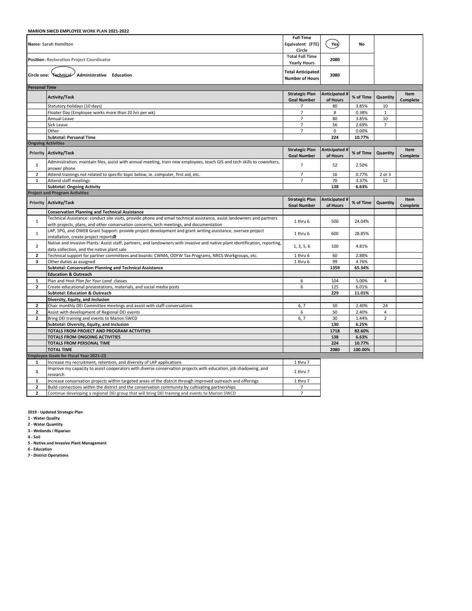|                           | MARION SWCD EMPLOYEE WORK PLAN 2021-2022                                                                                                                                                                           |                                                    |                                  |           |                 |                  |
|---------------------------|--------------------------------------------------------------------------------------------------------------------------------------------------------------------------------------------------------------------|----------------------------------------------------|----------------------------------|-----------|-----------------|------------------|
|                           | Name: Sarah Hamilton                                                                                                                                                                                               | <b>Full-Time</b><br>Equivalent (FTE)<br>Circle     | Yes)                             | No        |                 |                  |
|                           | Position: Restoration Project Coordinator                                                                                                                                                                          | <b>Total Full Time</b><br><b>Yearly Hours</b>      | 2080                             |           |                 |                  |
|                           | Circle one: Technical Administrative Education                                                                                                                                                                     | <b>Total Anticipated</b><br><b>Number of Hours</b> | 2080                             |           |                 |                  |
| <b>Personal Time</b>      |                                                                                                                                                                                                                    |                                                    |                                  |           |                 |                  |
|                           | <b>Activity/Task</b>                                                                                                                                                                                               | <b>Strategic Plan</b><br><b>Goal Number</b>        | <b>Anticipated #</b><br>of Hours | % of Time | Quantity        | Item<br>Complete |
|                           | Statutory holidays (10 days)                                                                                                                                                                                       | 7                                                  | 80                               | 3.85%     | 10              |                  |
|                           | Floater Day (Employee works more than 20 hrs per wk)                                                                                                                                                               | $\overline{7}$                                     | 8                                | 0.38%     | $\mathbf{1}$    |                  |
|                           | Annual Leave                                                                                                                                                                                                       | $\overline{7}$                                     | 80                               | 3.85%     | 10              |                  |
|                           | Sick Leave                                                                                                                                                                                                         | $\overline{7}$                                     | 56                               | 2.69%     | $\overline{7}$  |                  |
|                           | Other                                                                                                                                                                                                              | $\overline{7}$                                     | $\mathbf 0$                      | 0.00%     |                 |                  |
|                           | <b>Subtotal: Personal Time</b>                                                                                                                                                                                     |                                                    | 224                              | 10.77%    |                 |                  |
| <b>Ongoing Activities</b> |                                                                                                                                                                                                                    |                                                    |                                  |           |                 |                  |
|                           | Priority Activity/Task                                                                                                                                                                                             | <b>Strategic Plan</b><br><b>Goal Number</b>        | Anticipated #<br>of Hours        | % of Time | Quantity        | Item<br>Complete |
| 1                         | Administration: maintain files, assist with annual meeting, train new employees, teach GIS and tech skills to coworkers,<br>answer phone                                                                           | $\overline{7}$                                     | 52                               | 2.50%     |                 |                  |
| $\overline{2}$            | Attend trainings not related to specific topic below, ie. computer, first aid, etc.                                                                                                                                | $\overline{7}$                                     | 16                               | 0.77%     | $2$ or $3$      |                  |
| $\mathbf{1}$              | Attend staff meetings                                                                                                                                                                                              | $\overline{7}$                                     | 70                               | 3.37%     | 52              |                  |
|                           | <b>Subtotal: Ongoing Activity</b>                                                                                                                                                                                  |                                                    | 138                              | 6.63%     |                 |                  |
|                           | <b>Project and Program Activities</b>                                                                                                                                                                              |                                                    |                                  |           |                 |                  |
|                           | Priority Activity/Task                                                                                                                                                                                             | <b>Strategic Plan</b><br><b>Goal Number</b>        | Anticipated #<br>of Hours        | % of Time | <b>Quantity</b> | Item<br>Complete |
|                           |                                                                                                                                                                                                                    |                                                    |                                  |           |                 |                  |
|                           | <b>Conservation Planning and Technical Assistance</b>                                                                                                                                                              |                                                    |                                  |           |                 |                  |
| 1                         | Technical Assistance: conduct site visits, provide phone and email technical assistance, assist landowners and partners<br>with projects, plans, and other conservation concerns, tech meetings, and documentation | 1 thru 6                                           | 500                              | 24.04%    |                 |                  |
| $\mathbf{1}$              | LAP, SPG, and OWEB Grant Support: provide project development and grant writing assistance, oversee project<br>installation, create project reportse                                                               | 1 thru 6                                           | 600                              | 28.85%    |                 |                  |
| $\overline{2}$            | Native and Invasive Plants: Assist staff, partners, and landowners with invasive and native plant identification, reporting,<br>data collection, and the native plant sale                                         | 1, 3, 5, 6                                         | 100                              | 4.81%     |                 |                  |
| $\mathbf{2}$              | Technical support for partner committees and boards: CWMA, ODFW Tax Programs, NRCS Workgroups, etc.                                                                                                                | 1 thru 6                                           | 60                               | 2.88%     |                 |                  |
| 3                         | Other duties as assigned                                                                                                                                                                                           | 1 thru 6                                           | 99                               | 4.76%     |                 |                  |
|                           | Subtotal: Conservation Planning and Technical Assistance                                                                                                                                                           |                                                    | 1359                             | 65.34%    |                 |                  |
|                           | <b>Education &amp; Outreach</b>                                                                                                                                                                                    |                                                    |                                  |           |                 |                  |
| $\mathbf{1}$              | Plan and Host Plan for Your Land classes                                                                                                                                                                           | 6                                                  | 104                              | 5.00%     | $\overline{4}$  |                  |
| $\mathbf{z}$              | Create educational presentations, materials, and social media posts                                                                                                                                                | 6                                                  | 125                              | 6.01%     |                 |                  |
|                           | <b>Subtotal: Education &amp; Outreach</b>                                                                                                                                                                          |                                                    | 229                              | 11.01%    |                 |                  |
|                           | Diversity, Equity, and Inclusion                                                                                                                                                                                   |                                                    |                                  |           |                 |                  |
| 2                         | Chair monthly DEI Committee meetings and assist with staff conversations                                                                                                                                           | 6, 7                                               | 50                               | 2.40%     | 24              |                  |
| $\mathbf{2}$              | Assist with development of Regional DEI events                                                                                                                                                                     | 6                                                  | 50                               | 2.40%     | 4               |                  |
| $\mathbf{2}$              | Bring DEI training and events to Marion SWCD                                                                                                                                                                       | 6, 7                                               | 30                               | 1.44%     | $\overline{2}$  |                  |
|                           | Subtotal: Diversity, Equity, and Inclusion                                                                                                                                                                         |                                                    | 130                              | 6.25%     |                 |                  |
|                           | TOTALS FROM PROJECT AND PROGRAM ACTIVITIES                                                                                                                                                                         |                                                    | 1718                             | 82.60%    |                 |                  |
|                           | TOTALS FROM ONGOING ACTIVITIES                                                                                                                                                                                     |                                                    | 138                              | 6.63%     |                 |                  |
|                           | TOTALS FROM PERSONAL TIME                                                                                                                                                                                          |                                                    | 224                              | 10.77%    |                 |                  |
|                           | <b>TOTAL TIME</b>                                                                                                                                                                                                  |                                                    | 2080                             | 100.00%   |                 |                  |
|                           | <b>Employee Goals for Fiscal Year 2021-22</b>                                                                                                                                                                      |                                                    |                                  |           |                 |                  |
| 1                         |                                                                                                                                                                                                                    | 1 thru 7                                           |                                  |           |                 |                  |
| $\mathbf{1}$              | Increase my recruitment, retention, and diversity of LAP applications<br>Improve my capacity to assist cooperators with diverse conservation projects with education, job shadowing, and<br>research               | 1 thru 7                                           |                                  |           |                 |                  |
| $\mathbf{1}$              | Increase conservation projects within targeted areas of the distrcit through improved outreach and offerings                                                                                                       | 1 thru 7                                           |                                  |           |                 |                  |

**2** Continue developing a regional DEI group that will bring DEI training and events to Marion SWCD 7

**2019 - Updated Strategic Plan**

**1 - Water Quality**

**2 - Water Quantity**

**3 - Wetlands / Riparian**

**4 - Soil**

**5 - Native and Invasive Plant Management**

**6 - Education**

**7 - District Operations**